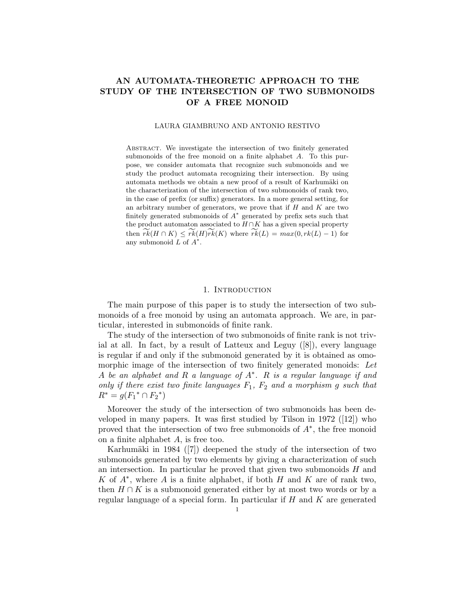# AN AUTOMATA-THEORETIC APPROACH TO THE STUDY OF THE INTERSECTION OF TWO SUBMONOIDS OF A FREE MONOID

#### LAURA GIAMBRUNO AND ANTONIO RESTIVO

ABSTRACT. We investigate the intersection of two finitely generated submonoids of the free monoid on a finite alphabet A. To this purpose, we consider automata that recognize such submonoids and we study the product automata recognizing their intersection. By using automata methods we obtain a new proof of a result of Karhumäki on the characterization of the intersection of two submonoids of rank two, in the case of prefix (or suffix) generators. In a more general setting, for an arbitrary number of generators, we prove that if  $H$  and  $K$  are two finitely generated submonoids of  $A^*$  generated by prefix sets such that the product automaton associated to  $H \cap K$  has a given special property then  $rk(H \cap K) \leq rk(H)rk(K)$  where  $rk(L) = max(0, rk(L) - 1)$  for any submonoid  $\overline{L}$  of  $A^*$ .

### 1. INTRODUCTION

The main purpose of this paper is to study the intersection of two submonoids of a free monoid by using an automata approach. We are, in particular, interested in submonoids of finite rank.

The study of the intersection of two submonoids of finite rank is not trivial at all. In fact, by a result of Latteux and Leguy  $([8])$ , every language is regular if and only if the submonoid generated by it is obtained as omomorphic image of the intersection of two finitely generated monoids: Let A be an alphabet and R a language of A<sup>∗</sup> . R is a regular language if and only if there exist two finite languages  $F_1$ ,  $F_2$  and a morphism g such that  $R^* = g(F_1^* \cap F_2^*)$ 

Moreover the study of the intersection of two submonoids has been developed in many papers. It was first studied by Tilson in 1972 ([12]) who proved that the intersection of two free submonoids of  $A^*$ , the free monoid on a finite alphabet A, is free too.

Karhumäki in 1984 ([7]) deepened the study of the intersection of two submonoids generated by two elements by giving a characterization of such an intersection. In particular he proved that given two submonoids  $H$  and K of  $A^*$ , where A is a finite alphabet, if both H and K are of rank two, then  $H \cap K$  is a submonoid generated either by at most two words or by a regular language of a special form. In particular if  $H$  and  $K$  are generated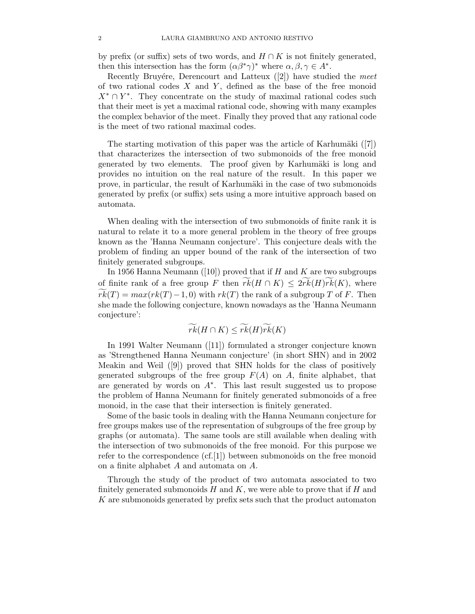by prefix (or suffix) sets of two words, and  $H \cap K$  is not finitely generated, then this intersection has the form  $(\alpha \beta^* \gamma)^*$  where  $\alpha, \beta, \gamma \in A^*$ .

Recently Bruyére, Derencourt and Latteux  $([2])$  have studied the meet of two rational codes  $X$  and  $Y$ , defined as the base of the free monoid  $X^* \cap Y^*$ . They concentrate on the study of maximal rational codes such that their meet is yet a maximal rational code, showing with many examples the complex behavior of the meet. Finally they proved that any rational code is the meet of two rational maximal codes.

The starting motivation of this paper was the article of Karhumäki  $([7])$ that characterizes the intersection of two submonoids of the free monoid generated by two elements. The proof given by Karhumäki is long and provides no intuition on the real nature of the result. In this paper we prove, in particular, the result of Karhumäki in the case of two submonoids generated by prefix (or suffix) sets using a more intuitive approach based on automata.

When dealing with the intersection of two submonoids of finite rank it is natural to relate it to a more general problem in the theory of free groups known as the 'Hanna Neumann conjecture'. This conjecture deals with the problem of finding an upper bound of the rank of the intersection of two finitely generated subgroups.

In 1956 Hanna Neumann ([10]) proved that if H and K are two subgroups of finite rank of a free group F then  $rk(H \cap K) \leq 2rk(H)rk(K)$ , where  $rk(T) = max(rk(T) - 1, 0)$  with  $rk(T)$  the rank of a subgroup T of F. Then she made the following conjecture, known nowadays as the 'Hanna Neumann conjecture':

$$
\widetilde{rk}(H\cap K)\leq \widetilde{rk}(H)\widetilde{rk}(K)
$$

In 1991 Walter Neumann ([11]) formulated a stronger conjecture known as 'Strengthened Hanna Neumann conjecture' (in short SHN) and in 2002 Meakin and Weil  $([9])$  proved that SHN holds for the class of positively generated subgroups of the free group  $F(A)$  on A, finite alphabet, that are generated by words on  $A^*$ . This last result suggested us to propose the problem of Hanna Neumann for finitely generated submonoids of a free monoid, in the case that their intersection is finitely generated.

Some of the basic tools in dealing with the Hanna Neumann conjecture for free groups makes use of the representation of subgroups of the free group by graphs (or automata). The same tools are still available when dealing with the intersection of two submonoids of the free monoid. For this purpose we refer to the correspondence (cf.[1]) between submonoids on the free monoid on a finite alphabet A and automata on A.

Through the study of the product of two automata associated to two finitely generated submonoids  $H$  and  $K$ , we were able to prove that if  $H$  and K are submonoids generated by prefix sets such that the product automaton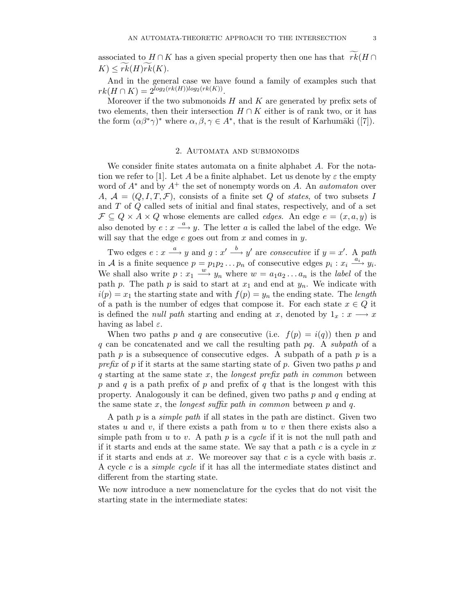associated to  $H \cap K$  has a given special property then one has that  $r\overline{k}(H \cap$  $K \leq rk(H)rk(K).$ 

And in the general case we have found a family of examples such that  $rk(H\cap K)=2^{log_2(rk(H))log_2(rk(K))}.$ 

Moreover if the two submonoids  $H$  and  $K$  are generated by prefix sets of two elements, then their intersection  $H \cap K$  either is of rank two, or it has the form  $(\alpha\beta^*\gamma)^*$  where  $\alpha, \beta, \gamma \in A^*$ , that is the result of Karhumäki ([7]).

### 2. Automata and submonoids

We consider finite states automata on a finite alphabet A. For the notation we refer to [1]. Let A be a finite alphabet. Let us denote by  $\varepsilon$  the empty word of  $A^*$  and by  $A^+$  the set of nonempty words on A. An *automaton* over A,  $A = (Q, I, T, \mathcal{F})$ , consists of a finite set Q of states, of two subsets I and T of Q called sets of initial and final states, respectively, and of a set  $\mathcal{F} \subseteq Q \times A \times Q$  whose elements are called *edges*. An edge  $e = (x, a, y)$  is also denoted by  $e: x \stackrel{a}{\longrightarrow} y$ . The letter a is called the label of the edge. We will say that the edge  $e$  goes out from  $x$  and comes in  $y$ .

Two edges  $e: x \stackrel{a}{\longrightarrow} y$  and  $g: x' \stackrel{b}{\longrightarrow} y'$  are consecutive if  $y = x'$ . A path in A is a finite sequence  $p = p_1 p_2 ... p_n$  of consecutive edges  $p_i : x_i \stackrel{a_i}{\longrightarrow} y_i$ . We shall also write  $p: x_1 \stackrel{w}{\longrightarrow} y_n$  where  $w = a_1 a_2 \dots a_n$  is the *label* of the path p. The path p is said to start at  $x_1$  and end at  $y_n$ . We indicate with  $i(p) = x_1$  the starting state and with  $f(p) = y_n$  the ending state. The length of a path is the number of edges that compose it. For each state  $x \in Q$  it is defined the *null path* starting and ending at x, denoted by  $1_x : x \longrightarrow x$ having as label  $\varepsilon$ .

When two paths p and q are consecutive (i.e.  $f(p) = i(q)$ ) then p and q can be concatenated and we call the resulting path  $pq$ . A subpath of a path  $p$  is a subsequence of consecutive edges. A subpath of a path  $p$  is a prefix of p if it starts at the same starting state of p. Given two paths p and  $q$  starting at the same state  $x$ , the *longest prefix path in common* between p and q is a path prefix of p and prefix of q that is the longest with this property. Analogously it can be defined, given two paths  $p$  and  $q$  ending at the same state x, the *longest suffix path in common* between  $p$  and  $q$ .

A path  $p$  is a *simple path* if all states in the path are distinct. Given two states u and v, if there exists a path from u to v then there exists also a simple path from u to v. A path p is a cycle if it is not the null path and if it starts and ends at the same state. We say that a path  $c$  is a cycle in  $x$ if it starts and ends at x. We moreover say that c is a cycle with basis  $x$ . A cycle c is a simple cycle if it has all the intermediate states distinct and different from the starting state.

We now introduce a new nomenclature for the cycles that do not visit the starting state in the intermediate states: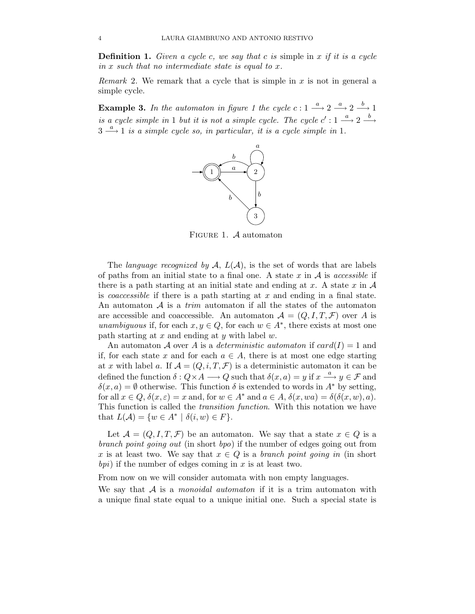**Definition 1.** Given a cycle c, we say that c is simple in  $x$  if it is a cycle in x such that no intermediate state is equal to x.

Remark 2. We remark that a cycle that is simple in  $x$  is not in general a simple cycle.

**Example 3.** In the automaton in figure 1 the cycle  $c: 1 \stackrel{a}{\longrightarrow} 2 \stackrel{a}{\longrightarrow} 2 \stackrel{b}{\longrightarrow} 1$ is a cycle simple in 1 but it is not a simple cycle. The cycle  $c' : 1 \stackrel{a}{\longrightarrow} 2 \stackrel{b}{\longrightarrow}$  $3 \stackrel{a}{\longrightarrow} 1$  is a simple cycle so, in particular, it is a cycle simple in 1.



FIGURE 1. A automaton

The *language recognized by A,*  $L(A)$ *,* is the set of words that are labels of paths from an initial state to a final one. A state x in  $A$  is accessible if there is a path starting at an initial state and ending at x. A state  $x$  in  $A$ is *coaccessible* if there is a path starting at  $x$  and ending in a final state. An automaton  $A$  is a *trim* automaton if all the states of the automaton are accessible and coaccessible. An automaton  $\mathcal{A} = (Q, I, T, \mathcal{F})$  over A is unambiguous if, for each  $x, y \in Q$ , for each  $w \in A^*$ , there exists at most one path starting at  $x$  and ending at  $y$  with label  $w$ .

An automaton A over A is a *deterministic automaton* if  $card(I) = 1$  and if, for each state x and for each  $a \in A$ , there is at most one edge starting at x with label a. If  $A = (Q, i, T, \mathcal{F})$  is a deterministic automaton it can be defined the function  $\delta: Q \times A \longrightarrow Q$  such that  $\delta(x, a) = y$  if  $x \stackrel{a}{\longrightarrow} y \in \mathcal{F}$  and  $\delta(x, a) = \emptyset$  otherwise. This function  $\delta$  is extended to words in  $A^*$  by setting, for all  $x \in Q$ ,  $\delta(x, \varepsilon) = x$  and, for  $w \in A^*$  and  $a \in A$ ,  $\delta(x, wa) = \delta(\delta(x, w), a)$ . This function is called the transition function. With this notation we have that  $L(\mathcal{A}) = \{w \in A^* \mid \delta(i, w) \in F\}.$ 

Let  $\mathcal{A} = (Q, I, T, \mathcal{F})$  be an automaton. We say that a state  $x \in Q$  is a branch point going out (in short bpo) if the number of edges going out from x is at least two. We say that  $x \in Q$  is a *branch point going in* (in short bpi) if the number of edges coming in  $x$  is at least two.

From now on we will consider automata with non empty languages.

We say that  $A$  is a *monoidal automaton* if it is a trim automaton with a unique final state equal to a unique initial one. Such a special state is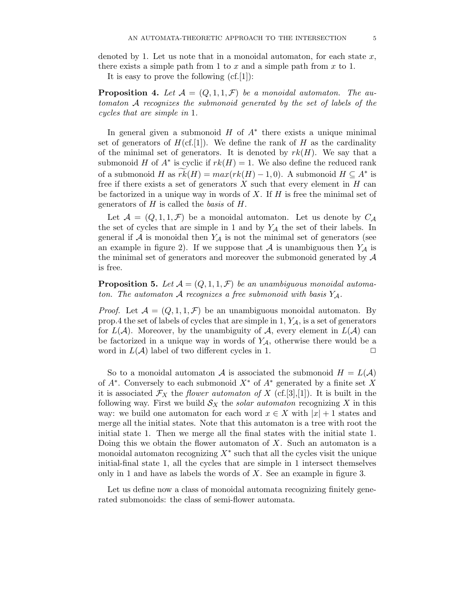denoted by 1. Let us note that in a monoidal automaton, for each state  $x$ , there exists a simple path from 1 to x and a simple path from  $x$  to 1.

It is easy to prove the following  $(cf.[1])$ :

**Proposition 4.** Let  $\mathcal{A} = (Q, 1, 1, \mathcal{F})$  be a monoidal automaton. The automaton A recognizes the submonoid generated by the set of labels of the cycles that are simple in 1.

In general given a submonoid  $H$  of  $A^*$  there exists a unique minimal set of generators of  $H(\text{cf.}[1])$ . We define the rank of H as the cardinality of the minimal set of generators. It is denoted by  $rk(H)$ . We say that a submonoid H of  $A^*$  is cyclic if  $rk(H) = 1$ . We also define the reduced rank of a submonoid H as  $\widetilde{rk}(H) = max(rk(H) - 1, 0)$ . A submonoid  $H \subseteq A^*$  is free if there exists a set of generators  $X$  such that every element in  $H$  can be factorized in a unique way in words of  $X$ . If  $H$  is free the minimal set of generators of  $H$  is called the *basis* of  $H$ .

Let  $\mathcal{A} = (Q, 1, 1, \mathcal{F})$  be a monoidal automaton. Let us denote by  $C_{\mathcal{A}}$ the set of cycles that are simple in 1 and by  $Y_A$  the set of their labels. In general if  $A$  is monoidal then  $Y_A$  is not the minimal set of generators (see an example in figure 2). If we suppose that A is unambiguous then  $Y_A$  is the minimal set of generators and moreover the submonoid generated by  $\mathcal A$ is free.

**Proposition 5.** Let  $\mathcal{A} = (Q, 1, 1, \mathcal{F})$  be an unambiguous monoidal automaton. The automaton A recognizes a free submonoid with basis  $Y_A$ .

*Proof.* Let  $A = (Q, 1, 1, \mathcal{F})$  be an unambiguous monoidal automaton. By prop.4 the set of labels of cycles that are simple in  $1, Y<sub>A</sub>$ , is a set of generators for  $L(\mathcal{A})$ . Moreover, by the unambiguity of  $\mathcal{A}$ , every element in  $L(\mathcal{A})$  can be factorized in a unique way in words of  $Y_A$ , otherwise there would be a word in  $L(\mathcal{A})$  label of two different cycles in 1.

So to a monoidal automaton A is associated the submonoid  $H = L(A)$ of  $A^*$ . Conversely to each submonoid  $X^*$  of  $A^*$  generated by a finite set X it is associated  $\mathcal{F}_X$  the flower automaton of X (cf.[3],[1]). It is built in the following way. First we build  $S_X$  the *solar automaton* recognizing X in this way: we build one automaton for each word  $x \in X$  with  $|x|+1$  states and merge all the initial states. Note that this automaton is a tree with root the initial state 1. Then we merge all the final states with the initial state 1. Doing this we obtain the flower automaton of  $X$ . Such an automaton is a monoidal automaton recognizing  $X^*$  such that all the cycles visit the unique initial-final state 1, all the cycles that are simple in 1 intersect themselves only in 1 and have as labels the words of  $X$ . See an example in figure 3.

Let us define now a class of monoidal automata recognizing finitely generated submonoids: the class of semi-flower automata.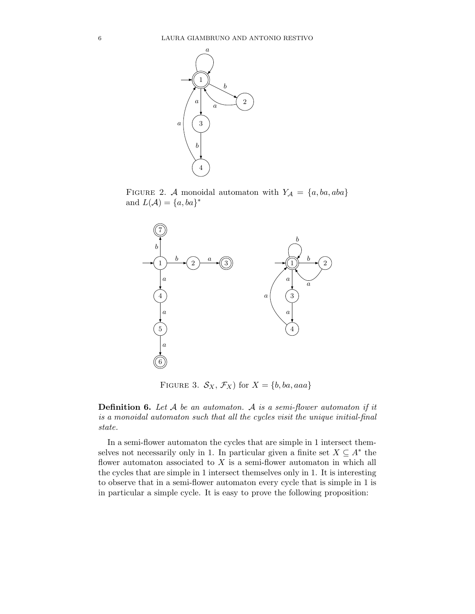

FIGURE 2. A monoidal automaton with  $Y_A = \{a, ba, aba\}$ and  $L(\mathcal{A}) = \{a, ba\}^*$ 



FIGURE 3.  $\mathcal{S}_X$ ,  $\mathcal{F}_X$  for  $X = \{b, ba, aaa\}$ 

**Definition 6.** Let  $A$  be an automaton. A is a semi-flower automaton if it is a monoidal automaton such that all the cycles visit the unique initial-final state.

In a semi-flower automaton the cycles that are simple in 1 intersect themselves not necessarily only in 1. In particular given a finite set  $X \subseteq A^*$  the flower automaton associated to  $X$  is a semi-flower automaton in which all the cycles that are simple in 1 intersect themselves only in 1. It is interesting to observe that in a semi-flower automaton every cycle that is simple in 1 is in particular a simple cycle. It is easy to prove the following proposition: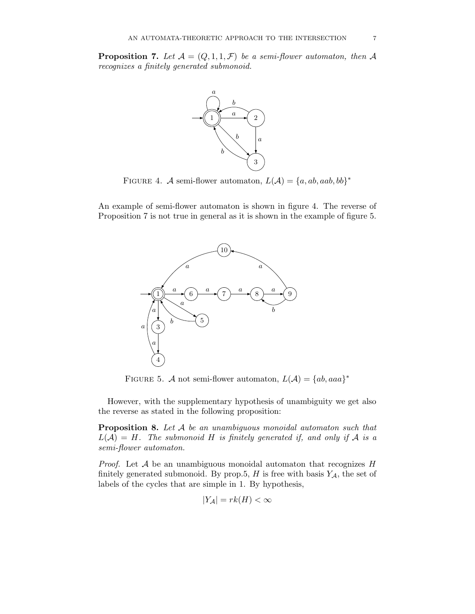**Proposition 7.** Let  $A = (Q, 1, 1, \mathcal{F})$  be a semi-flower automaton, then A recognizes a finitely generated submonoid.



FIGURE 4. A semi-flower automaton,  $L(A) = \{a, ab, aab, bb\}^*$ 

An example of semi-flower automaton is shown in figure 4. The reverse of Proposition 7 is not true in general as it is shown in the example of figure 5.



FIGURE 5. A not semi-flower automaton,  $L(\mathcal{A}) = \{ab,aaa\}^*$ 

However, with the supplementary hypothesis of unambiguity we get also the reverse as stated in the following proposition:

Proposition 8. Let A be an unambiguous monoidal automaton such that  $L(\mathcal{A}) = H$ . The submonoid H is finitely generated if, and only if A is a semi-flower automaton.

*Proof.* Let  $A$  be an unambiguous monoidal automaton that recognizes  $H$ finitely generated submonoid. By prop.5,  $H$  is free with basis  $Y_{\mathcal{A}}$ , the set of labels of the cycles that are simple in 1. By hypothesis,

$$
|Y_{\mathcal{A}}| = rk(H) < \infty
$$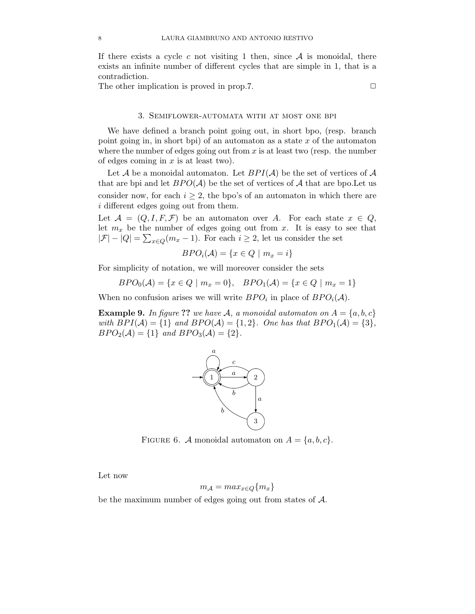If there exists a cycle c not visiting 1 then, since  $A$  is monoidal, there exists an infinite number of different cycles that are simple in 1, that is a contradiction.

The other implication is proved in prop.7.  $\Box$ 

### 3. Semiflower-automata with at most one bpi

We have defined a branch point going out, in short bpo, (resp. branch point going in, in short bpi) of an automaton as a state  $x$  of the automaton where the number of edges going out from  $x$  is at least two (resp. the number of edges coming in  $x$  is at least two).

Let A be a monoidal automaton. Let  $BPI(\mathcal{A})$  be the set of vertices of A that are bpi and let  $BPO(A)$  be the set of vertices of A that are bpo. Let us consider now, for each  $i \geq 2$ , the bpo's of an automaton in which there are i different edges going out from them.

Let  $A = (Q, I, F, F)$  be an automaton over A. For each state  $x \in Q$ , let  $m_x$  be the number of edges going out from x. It is easy to see that  $|\mathcal{F}| - |Q| = \sum_{x \in Q}(m_x - 1)$ . For each  $i \ge 2$ , let us consider the set

$$
BPO_i(\mathcal{A}) = \{x \in Q \mid m_x = i\}
$$

For simplicity of notation, we will moreover consider the sets

$$
BPO_0(\mathcal{A}) = \{x \in Q \mid m_x = 0\}, \quad BPO_1(\mathcal{A}) = \{x \in Q \mid m_x = 1\}
$$

When no confusion arises we will write  $BPO_i$  in place of  $BPO_i(\mathcal{A})$ .

**Example 9.** In figure ?? we have A, a monoidal automaton on  $A = \{a, b, c\}$ with  $BPI(\mathcal{A}) = \{1\}$  and  $BPO(\mathcal{A}) = \{1, 2\}$ . One has that  $BPO(\mathcal{A}) = \{3\},$  $BPO_2(\mathcal{A}) = \{1\}$  and  $BPO_3(\mathcal{A}) = \{2\}.$ 



FIGURE 6. A monoidal automaton on  $A = \{a, b, c\}.$ 

Let now

$$
m_{\mathcal{A}} = max_{x \in Q} \{m_x\}
$$

be the maximum number of edges going out from states of A.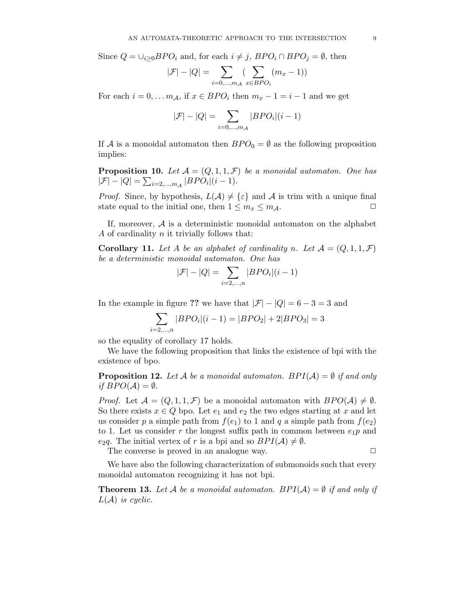Since  $Q = \bigcup_{i>0} BPO_i$  and, for each  $i \neq j$ ,  $BPO_i \cap BPO_j = \emptyset$ , then

$$
|\mathcal{F}| - |Q| = \sum_{i=0,\dots,m_A} \left(\sum_{x \in BPO_i} (m_x - 1)\right)
$$

For each  $i = 0, \ldots m_A$ , if  $x \in BPO_i$  then  $m_x - 1 = i - 1$  and we get

$$
|\mathcal{F}|-|Q| = \sum_{i=0,...,m_{\mathcal{A}}}|BPO_{i}|(i-1)
$$

If A is a monoidal automaton then  $BPO_0 = \emptyset$  as the following proposition implies:

**Proposition 10.** Let  $A = (Q, 1, 1, \mathcal{F})$  be a monoidal automaton. One has  $|\mathcal{F}| - |Q| = \sum_{i=2,...,m} |BPO_i|(i-1).$ 

*Proof.* Since, by hypothesis,  $L(\mathcal{A}) \neq {\varepsilon}$  and  $\mathcal A$  is trim with a unique final state equal to the initial one, then  $1 \leq m_x \leq m_A$ .

If, moreover,  $A$  is a deterministic monoidal automaton on the alphabet A of cardinality  $n$  it trivially follows that:

**Corollary 11.** Let A be an alphabet of cardinality n. Let  $\mathcal{A} = (Q, 1, 1, \mathcal{F})$ be a deterministic monoidal automaton. One has

$$
|\mathcal{F}|-|Q|=\sum_{i=2,\ldots,n}|BPO_i|(i-1)
$$

In the example in figure ?? we have that  $|\mathcal{F}| - |Q| = 6 - 3 = 3$  and

$$
\sum_{i=2,\dots,n} |BPO_i|(i-1) = |BPO_2| + 2|BPO_3| = 3
$$

so the equality of corollary 17 holds.

We have the following proposition that links the existence of bpi with the existence of bpo.

**Proposition 12.** Let A be a monoidal automaton. BPI( $A$ ) =  $\emptyset$  if and only if  $BPO(A) = \emptyset$ .

*Proof.* Let  $\mathcal{A} = (Q, 1, 1, \mathcal{F})$  be a monoidal automaton with  $BPO(\mathcal{A}) \neq \emptyset$ . So there exists  $x \in Q$  bpo. Let  $e_1$  and  $e_2$  the two edges starting at x and let us consider p a simple path from  $f(e_1)$  to 1 and q a simple path from  $f(e_2)$ to 1. Let us consider r the longest suffix path in common between  $e_1p$  and e<sub>2</sub>q. The initial vertex of r is a bpi and so  $BPI(\mathcal{A}) \neq \emptyset$ .

The converse is proved in an analogue way.  $\Box$ 

We have also the following characterization of submonoids such that every monoidal automaton recognizing it has not bpi.

**Theorem 13.** Let A be a monoidal automaton. BPI(A) =  $\emptyset$  if and only if  $L(\mathcal{A})$  is cyclic.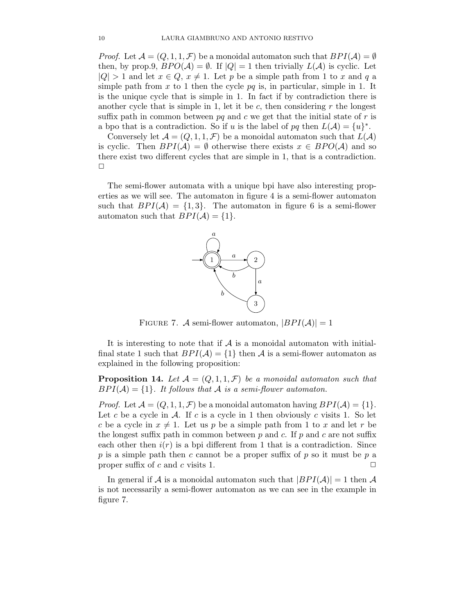*Proof.* Let  $\mathcal{A} = (Q, 1, 1, \mathcal{F})$  be a monoidal automaton such that  $BPI(\mathcal{A}) = \emptyset$ then, by prop.9,  $BPO(A) = \emptyset$ . If  $|Q| = 1$  then trivially  $L(A)$  is cyclic. Let  $|Q| > 1$  and let  $x \in Q$ ,  $x \neq 1$ . Let p be a simple path from 1 to x and q a simple path from x to 1 then the cycle  $pq$  is, in particular, simple in 1. It is the unique cycle that is simple in 1. In fact if by contradiction there is another cycle that is simple in 1, let it be  $c$ , then considering  $r$  the longest suffix path in common between  $pq$  and c we get that the initial state of r is a bpo that is a contradiction. So if u is the label of pq then  $L(\mathcal{A}) = \{u\}^*$ .

Conversely let  $\mathcal{A} = (Q, 1, 1, \mathcal{F})$  be a monoidal automaton such that  $L(\mathcal{A})$ is cyclic. Then  $BPI(\mathcal{A}) = \emptyset$  otherwise there exists  $x \in BPO(\mathcal{A})$  and so there exist two different cycles that are simple in 1, that is a contradiction.  $\Box$ 

The semi-flower automata with a unique bpi have also interesting properties as we will see. The automaton in figure 4 is a semi-flower automaton such that  $BPI(\mathcal{A}) = \{1,3\}$ . The automaton in figure 6 is a semi-flower automaton such that  $BPI(\mathcal{A}) = \{1\}.$ 



FIGURE 7. A semi-flower automaton,  $|BPI(A)| = 1$ 

It is interesting to note that if  $A$  is a monoidal automaton with initialfinal state 1 such that  $BPI(\mathcal{A}) = \{1\}$  then  $\mathcal A$  is a semi-flower automaton as explained in the following proposition:

**Proposition 14.** Let  $A = (Q, 1, 1, \mathcal{F})$  be a monoidal automaton such that  $BPI(\mathcal{A}) = \{1\}$ . It follows that  $\mathcal A$  is a semi-flower automaton.

*Proof.* Let  $\mathcal{A} = (Q, 1, 1, \mathcal{F})$  be a monoidal automaton having  $BPI(\mathcal{A}) = \{1\}$ . Let c be a cycle in A. If c is a cycle in 1 then obviously c visits 1. So let c be a cycle in  $x \neq 1$ . Let us p be a simple path from 1 to x and let r be the longest suffix path in common between  $p$  and  $c$ . If  $p$  and  $c$  are not suffix each other then  $i(r)$  is a bpi different from 1 that is a contradiction. Since p is a simple path then c cannot be a proper suffix of p so it must be p a proper suffix of c and c visits 1.  $\Box$ 

In general if A is a monoidal automaton such that  $|BPI(\mathcal{A})|=1$  then A is not necessarily a semi-flower automaton as we can see in the example in figure 7.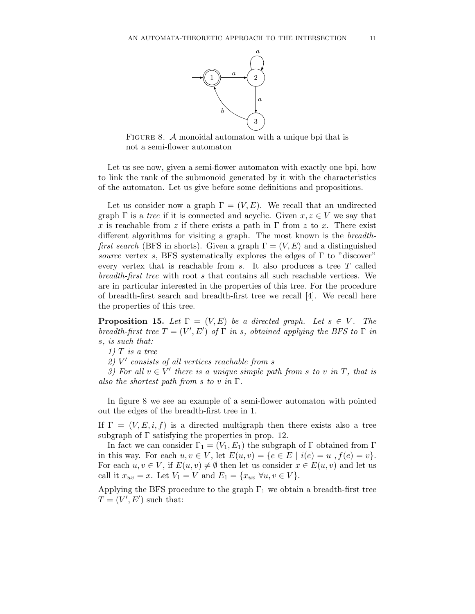

FIGURE 8. A monoidal automaton with a unique bpi that is not a semi-flower automaton

Let us see now, given a semi-flower automaton with exactly one bpi, how to link the rank of the submonoid generated by it with the characteristics of the automaton. Let us give before some definitions and propositions.

Let us consider now a graph  $\Gamma = (V, E)$ . We recall that an undirected graph  $\Gamma$  is a tree if it is connected and acyclic. Given  $x, z \in V$  we say that x is reachable from z if there exists a path in  $\Gamma$  from z to x. There exist different algorithms for visiting a graph. The most known is the breadthfirst search (BFS in shorts). Given a graph  $\Gamma = (V, E)$  and a distinguished source vertex s, BFS systematically explores the edges of  $\Gamma$  to "discover" every vertex that is reachable from  $s$ . It also produces a tree  $T$  called breadth-first tree with root s that contains all such reachable vertices. We are in particular interested in the properties of this tree. For the procedure of breadth-first search and breadth-first tree we recall [4]. We recall here the properties of this tree.

**Proposition 15.** Let  $\Gamma = (V, E)$  be a directed graph. Let  $s \in V$ . The breadth-first tree  $T = (V', E')$  of  $\Gamma$  in s, obtained applying the BFS to  $\Gamma$  in s, is such that:

 $1)$  T is a tree

 $2)$  V' consists of all vertices reachable from s

3) For all  $v \in V'$  there is a unique simple path from s to v in T, that is also the shortest path from s to v in  $\Gamma$ .

In figure 8 we see an example of a semi-flower automaton with pointed out the edges of the breadth-first tree in 1.

If  $\Gamma = (V, E, i, f)$  is a directed multigraph then there exists also a tree subgraph of  $\Gamma$  satisfying the properties in prop. 12.

In fact we can consider  $\Gamma_1 = (V_1, E_1)$  the subgraph of  $\Gamma$  obtained from  $\Gamma$ in this way. For each  $u, v \in V$ , let  $E(u, v) = \{e \in E \mid i(e) = u, f(e) = v\}.$ For each  $u, v \in V$ , if  $E(u, v) \neq \emptyset$  then let us consider  $x \in E(u, v)$  and let us call it  $x_{uv} = x$ . Let  $V_1 = V$  and  $E_1 = \{x_{uv} \; \forall u, v \in V\}.$ 

Applying the BFS procedure to the graph  $\Gamma_1$  we obtain a breadth-first tree  $T = (V', E')$  such that: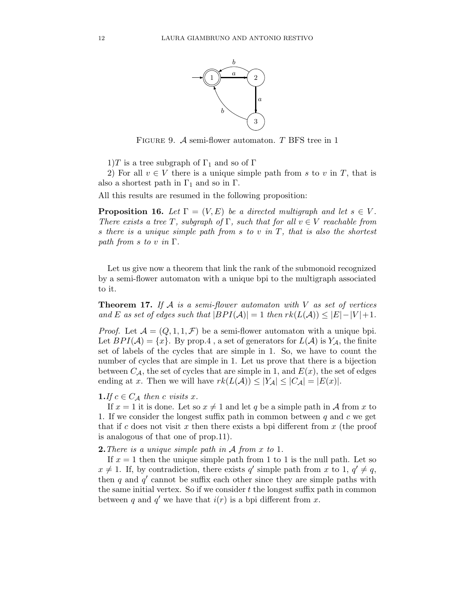

FIGURE 9.  $\mathcal A$  semi-flower automaton. T BFS tree in 1

1)T is a tree subgraph of  $\Gamma_1$  and so of  $\Gamma$ 

2) For all  $v \in V$  there is a unique simple path from s to v in T, that is also a shortest path in  $\Gamma_1$  and so in  $\Gamma$ .

All this results are resumed in the following proposition:

**Proposition 16.** Let  $\Gamma = (V, E)$  be a directed multigraph and let  $s \in V$ . There exists a tree T, subgraph of  $\Gamma$ , such that for all  $v \in V$  reachable from s there is a unique simple path from s to v in  $T$ , that is also the shortest path from s to v in  $\Gamma$ .

Let us give now a theorem that link the rank of the submonoid recognized by a semi-flower automaton with a unique bpi to the multigraph associated to it.

**Theorem 17.** If  $A$  is a semi-flower automaton with  $V$  as set of vertices and E as set of edges such that  $|BPI(\mathcal{A})|=1$  then  $rk(L(\mathcal{A}))\leq |E|-|V|+1$ .

*Proof.* Let  $\mathcal{A} = (Q, 1, 1, \mathcal{F})$  be a semi-flower automaton with a unique bpi. Let  $BPI(\mathcal{A}) = \{x\}$ . By prop.4, a set of generators for  $L(\mathcal{A})$  is  $Y_{\mathcal{A}}$ , the finite set of labels of the cycles that are simple in 1. So, we have to count the number of cycles that are simple in 1. Let us prove that there is a bijection between  $C_A$ , the set of cycles that are simple in 1, and  $E(x)$ , the set of edges ending at x. Then we will have  $rk(L(\mathcal{A})) \leq |Y_{\mathcal{A}}| \leq |C_{\mathcal{A}}| = |E(x)|$ .

## **1.**If  $c \in C_A$  then c visits x.

If  $x = 1$  it is done. Let so  $x \neq 1$  and let q be a simple path in A from x to 1. If we consider the longest suffix path in common between  $q$  and  $c$  we get that if c does not visit x then there exists a bpi different from  $x$  (the proof is analogous of that one of prop.11).

**2.** There is a unique simple path in  $\mathcal A$  from x to 1.

If  $x = 1$  then the unique simple path from 1 to 1 is the null path. Let so  $x \neq 1$ . If, by contradiction, there exists q' simple path from x to 1,  $q' \neq q$ , then  $q$  and  $q'$  cannot be suffix each other since they are simple paths with the same initial vertex. So if we consider  $t$  the longest suffix path in common between q and  $q'$  we have that  $i(r)$  is a bpi different from x.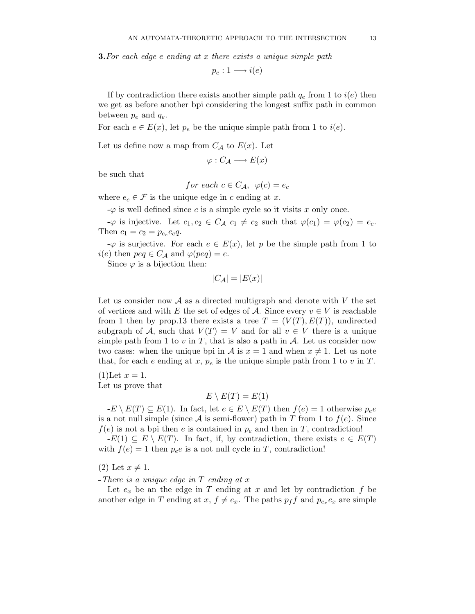**3.** For each edge  $e$  ending at  $x$  there exists a unique simple path

$$
p_e: 1 \longrightarrow i(e)
$$

If by contradiction there exists another simple path  $q_e$  from 1 to  $i(e)$  then we get as before another bpi considering the longest suffix path in common between  $p_e$  and  $q_e$ .

For each  $e \in E(x)$ , let  $p_e$  be the unique simple path from 1 to  $i(e)$ .

Let us define now a map from  $C_A$  to  $E(x)$ . Let

$$
\varphi: C_{\mathcal{A}} \longrightarrow E(x)
$$

be such that

for each 
$$
c \in C_{\mathcal{A}}
$$
,  $\varphi(c) = e_c$ 

where  $e_c \in \mathcal{F}$  is the unique edge in c ending at x.

 $-\varphi$  is well defined since c is a simple cycle so it visits x only once.

 $-\varphi$  is injective. Let  $c_1, c_2 \in C_{\mathcal{A}} c_1 \neq c_2$  such that  $\varphi(c_1) = \varphi(c_2) = e_c$ . Then  $c_1 = c_2 = p_{e_c} e_c q$ .

 $-\varphi$  is surjective. For each  $e \in E(x)$ , let p be the simple path from 1 to  $i(e)$  then  $peq \in C_{\mathcal{A}}$  and  $\varphi (peq) = e$ .

Since  $\varphi$  is a bijection then:

$$
|C_{\mathcal{A}}| = |E(x)|
$$

Let us consider now  $\mathcal A$  as a directed multigraph and denote with  $V$  the set of vertices and with E the set of edges of A. Since every  $v \in V$  is reachable from 1 then by prop.13 there exists a tree  $T = (V(T), E(T))$ , undirected subgraph of A, such that  $V(T) = V$  and for all  $v \in V$  there is a unique simple path from 1 to v in T, that is also a path in  $\mathcal{A}$ . Let us consider now two cases: when the unique bpi in A is  $x = 1$  and when  $x \neq 1$ . Let us note that, for each e ending at x,  $p_e$  is the unique simple path from 1 to v in T.

 $(1)$ Let  $x = 1$ .

Let us prove that

## $E \setminus E(T) = E(1)$

 $-E \setminus E(T) \subseteq E(1)$ . In fact, let  $e \in E \setminus E(T)$  then  $f(e) = 1$  otherwise  $p_e e$ is a not null simple (since A is semi-flower) path in T from 1 to  $f(e)$ . Since  $f(e)$  is not a bpi then e is contained in  $p_e$  and then in T, contradiction!

 $-E(1) \subseteq E \setminus E(T)$ . In fact, if, by contradiction, there exists  $e \in E(T)$ with  $f(e) = 1$  then  $p_e e$  is a not null cycle in T, contradiction!

 $(2)$  Let  $x \neq 1$ .

 $-There\ is\ a\ unique\ edge\ in\ T\ ending\ at\ x$ 

Let  $e_x$  be an the edge in T ending at x and let by contradiction f be another edge in T ending at  $x, f \neq e_x$ . The paths  $p_f f$  and  $p_{e_x} e_x$  are simple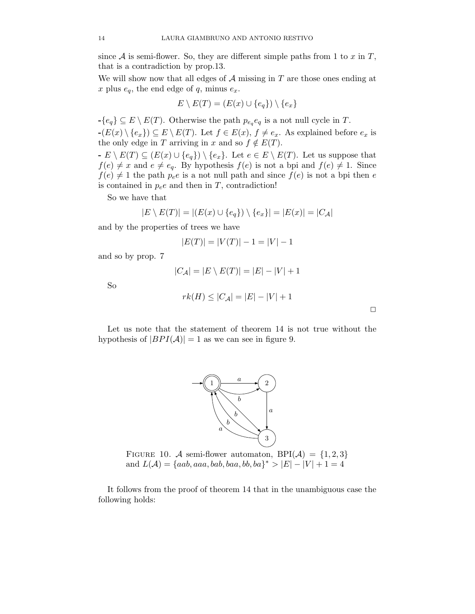since  $A$  is semi-flower. So, they are different simple paths from 1 to x in  $T$ , that is a contradiction by prop.13.

We will show now that all edges of  $A$  missing in  $T$  are those ones ending at x plus  $e_q$ , the end edge of q, minus  $e_x$ .

$$
E \setminus E(T) = (E(x) \cup \{e_q\}) \setminus \{e_x\}
$$

 $-\{e_q\} \subseteq E \setminus E(T)$ . Otherwise the path  $p_{e_q}e_q$  is a not null cycle in T.  $-(E(x) \setminus \{e_x\}) \subseteq E \setminus E(T)$ . Let  $f \in E(x)$ ,  $f \neq e_x$ . As explained before  $e_x$  is the only edge in T arriving in x and so  $f \notin E(T)$ .

 $-E \setminus E(T) \subseteq (E(x) \cup \{e_q\}) \setminus \{e_x\}.$  Let  $e \in E \setminus E(T)$ . Let us suppose that  $f(e) \neq x$  and  $e \neq e_q$ . By hypothesis  $f(e)$  is not a bpi and  $f(e) \neq 1$ . Since  $f(e) \neq 1$  the path  $p_e e$  is a not null path and since  $f(e)$  is not a bpi then e is contained in  $p_e e$  and then in T, contradiction!

So we have that

$$
|E \setminus E(T)| = |(E(x) \cup \{e_q\}) \setminus \{e_x\}| = |E(x)| = |C_{\mathcal{A}}|
$$

and by the properties of trees we have

$$
|E(T)| = |V(T)| - 1 = |V| - 1
$$

and so by prop. 7

$$
|C_{\mathcal{A}}| = |E \setminus E(T)| = |E| - |V| + 1
$$

So

$$
rk(H) \leq |C_{\mathcal{A}}| = |E| - |V| + 1
$$

 $\Box$ 

Let us note that the statement of theorem 14 is not true without the hypothesis of  $|BPI(\mathcal{A})|=1$  as we can see in figure 9.



FIGURE 10. A semi-flower automaton, BPI(A) =  $\{1,2,3\}$ and  $L(A) = \{aab, aaa, bab, baa, bb, ba\}^* > |E|-|V|+1=4$ 

It follows from the proof of theorem 14 that in the unambiguous case the following holds: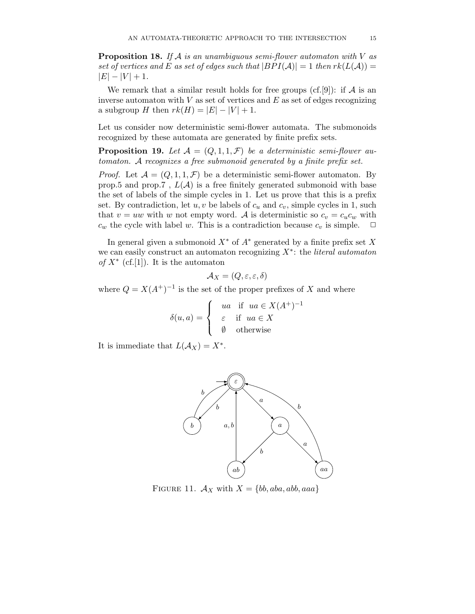**Proposition 18.** If A is an unambiguous semi-flower automaton with V as set of vertices and E as set of edges such that  $|BPI(\mathcal{A})|=1$  then  $rk(L(\mathcal{A}))=$  $|E| - |V| + 1.$ 

We remark that a similar result holds for free groups (cf.[9]): if  $\mathcal A$  is an inverse automaton with  $V$  as set of vertices and  $E$  as set of edges recognizing a subgroup H then  $rk(H) = |E| - |V| + 1$ .

Let us consider now deterministic semi-flower automata. The submonoids recognized by these automata are generated by finite prefix sets.

**Proposition 19.** Let  $A = (Q, 1, 1, \mathcal{F})$  be a deterministic semi-flower automaton. A recognizes a free submonoid generated by a finite prefix set.

*Proof.* Let  $\mathcal{A} = (Q, 1, 1, \mathcal{F})$  be a deterministic semi-flower automaton. By prop.5 and prop.7,  $L(\mathcal{A})$  is a free finitely generated submonoid with base the set of labels of the simple cycles in 1. Let us prove that this is a prefix set. By contradiction, let  $u, v$  be labels of  $c_u$  and  $c_v$ , simple cycles in 1, such that  $v = uw$  with w not empty word. A is deterministic so  $c_v = c_u c_w$  with  $c_w$  the cycle with label w. This is a contradiction because  $c_v$  is simple.  $\Box$ 

In general given a submonoid  $X^*$  of  $A^*$  generated by a finite prefix set X we can easily construct an automaton recognizing  $X^*$ : the *literal automaton* of  $X^*$  (cf.[1]). It is the automaton

$$
\mathcal{A}_X = (Q, \varepsilon, \varepsilon, \delta)
$$

where  $Q = X(A^+)^{-1}$  is the set of the proper prefixes of X and where

$$
\delta(u, a) = \begin{cases} \n\begin{cases} \nua & \text{if } ua \in X(A^+)^{-1} \\ \n\varepsilon & \text{if } ua \in X \\ \n\emptyset & \text{otherwise} \n\end{cases} \n\end{cases}
$$

It is immediate that  $L(A_X) = X^*$ .



FIGURE 11.  $A_X$  with  $X = \{bb, aba, abb, aaa\}$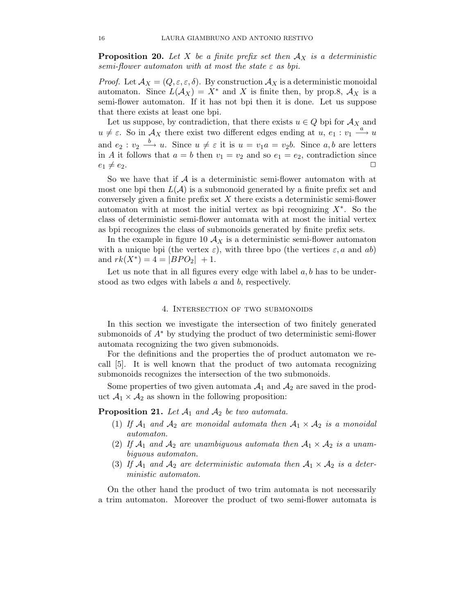**Proposition 20.** Let X be a finite prefix set then  $A_X$  is a deterministic semi-flower automaton with at most the state  $\varepsilon$  as bpi.

*Proof.* Let  $\mathcal{A}_X = (Q, \varepsilon, \varepsilon, \delta)$ . By construction  $\mathcal{A}_X$  is a deterministic monoidal automaton. Since  $L(\mathcal{A}_X) = X^*$  and X is finite then, by prop.8,  $\mathcal{A}_X$  is a semi-flower automaton. If it has not bpi then it is done. Let us suppose that there exists at least one bpi.

Let us suppose, by contradiction, that there exists  $u\in Q$  bpi for  $\mathcal{A}_X$  and  $u \neq \varepsilon$ . So in  $\mathcal{A}_X$  there exist two different edges ending at  $u, e_1 : v_1 \stackrel{a}{\longrightarrow} u$ and  $e_2 : v_2 \stackrel{b}{\longrightarrow} u$ . Since  $u \neq \varepsilon$  it is  $u = v_1 a = v_2 b$ . Since  $a, b$  are letters in A it follows that  $a = b$  then  $v_1 = v_2$  and so  $e_1 = e_2$ , contradiction since  $e_1 \neq e_2.$ 

So we have that if  $A$  is a deterministic semi-flower automaton with at most one bpi then  $L(\mathcal{A})$  is a submonoid generated by a finite prefix set and conversely given a finite prefix set  $X$  there exists a deterministic semi-flower automaton with at most the initial vertex as bpi recognizing  $X^*$ . So the class of deterministic semi-flower automata with at most the initial vertex as bpi recognizes the class of submonoids generated by finite prefix sets.

In the example in figure 10  $A_X$  is a deterministic semi-flower automaton with a unique bpi (the vertex  $\varepsilon$ ), with three bpo (the vertices  $\varepsilon$ , a and ab) and  $rk(X^*)=4=|BPO_2|+1$ .

Let us note that in all figures every edge with label  $a, b$  has to be understood as two edges with labels a and b, respectively.

#### 4. Intersection of two submonoids

In this section we investigate the intersection of two finitely generated submonoids of  $A^*$  by studying the product of two deterministic semi-flower automata recognizing the two given submonoids.

For the definitions and the properties the of product automaton we recall [5]. It is well known that the product of two automata recognizing submonoids recognizes the intersection of the two submonoids.

Some properties of two given automata  $A_1$  and  $A_2$  are saved in the product  $A_1 \times A_2$  as shown in the following proposition:

**Proposition 21.** Let  $A_1$  and  $A_2$  be two automata.

- (1) If  $\mathcal{A}_1$  and  $\mathcal{A}_2$  are monoidal automata then  $\mathcal{A}_1 \times \mathcal{A}_2$  is a monoidal automaton.
- (2) If  $A_1$  and  $A_2$  are unambiguous automata then  $A_1 \times A_2$  is a unambiguous automaton.
- (3) If  $\mathcal{A}_1$  and  $\mathcal{A}_2$  are deterministic automata then  $\mathcal{A}_1 \times \mathcal{A}_2$  is a deterministic automaton.

On the other hand the product of two trim automata is not necessarily a trim automaton. Moreover the product of two semi-flower automata is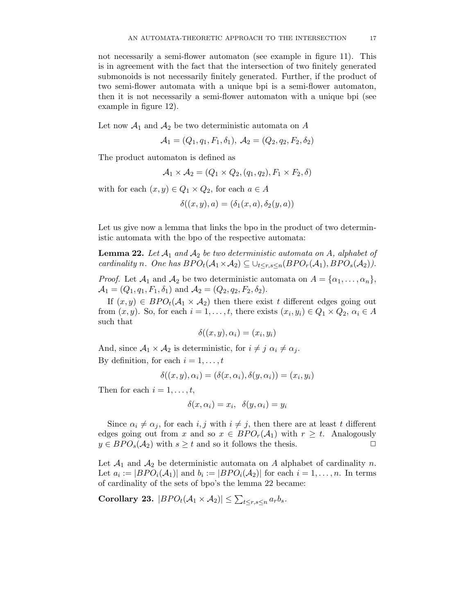not necessarily a semi-flower automaton (see example in figure 11). This is in agreement with the fact that the intersection of two finitely generated submonoids is not necessarily finitely generated. Further, if the product of two semi-flower automata with a unique bpi is a semi-flower automaton, then it is not necessarily a semi-flower automaton with a unique bpi (see example in figure 12).

Let now  $A_1$  and  $A_2$  be two deterministic automata on A

$$
A_1 = (Q_1, q_1, F_1, \delta_1), A_2 = (Q_2, q_2, F_2, \delta_2)
$$

The product automaton is defined as

$$
A_1 \times A_2 = (Q_1 \times Q_2, (q_1, q_2), F_1 \times F_2, \delta)
$$

with for each  $(x, y) \in Q_1 \times Q_2$ , for each  $a \in A$ 

$$
\delta((x,y),a)=(\delta_1(x,a),\delta_2(y,a))
$$

Let us give now a lemma that links the bpo in the product of two deterministic automata with the bpo of the respective automata:

**Lemma 22.** Let  $\mathcal{A}_1$  and  $\mathcal{A}_2$  be two deterministic automata on  $\mathcal{A}$ , alphabet of cardinality n. One has  $BPO_t(\mathcal{A}_1 \times \mathcal{A}_2) \subseteq \bigcup_{t \leq r,s \leq n} (BPO_r(\mathcal{A}_1), BPO_s(\mathcal{A}_2)).$ 

*Proof.* Let  $\mathcal{A}_1$  and  $\mathcal{A}_2$  be two deterministic automata on  $A = {\alpha_1, \ldots, \alpha_n}$ ,  $\mathcal{A}_1 = (Q_1, q_1, F_1, \delta_1)$  and  $\mathcal{A}_2 = (Q_2, q_2, F_2, \delta_2)$ .

If  $(x, y) \in BPO<sub>t</sub>(A<sub>1</sub> \times A<sub>2</sub>)$  then there exist t different edges going out from  $(x, y)$ . So, for each  $i = 1, \ldots, t$ , there exists  $(x_i, y_i) \in Q_1 \times Q_2$ ,  $\alpha_i \in A$ such that

$$
\delta((x,y),\alpha_i)=(x_i,y_i)
$$

And, since  $A_1 \times A_2$  is deterministic, for  $i \neq j$   $\alpha_i \neq \alpha_j$ . By definition, for each  $i = 1, \ldots, t$ 

$$
\delta((x, y), \alpha_i) = (\delta(x, \alpha_i), \delta(y, \alpha_i)) = (x_i, y_i)
$$

Then for each  $i = 1, \ldots, t$ ,

$$
\delta(x, \alpha_i) = x_i, \ \delta(y, \alpha_i) = y_i
$$

Since  $\alpha_i \neq \alpha_j$ , for each  $i, j$  with  $i \neq j$ , then there are at least t different edges going out from x and so  $x \in BPO_r(\mathcal{A}_1)$  with  $r \geq t$ . Analogously  $y \in BPO_s(\mathcal{A}_2)$  with  $s \ge t$  and so it follows the thesis.

Let  $\mathcal{A}_1$  and  $\mathcal{A}_2$  be deterministic automata on A alphabet of cardinality n. Let  $a_i := |BPO_i(A_1)|$  and  $b_i := |BPO_i(A_2)|$  for each  $i = 1, ..., n$ . In terms of cardinality of the sets of bpo's the lemma 22 became:

Corollary 23.  $|BPO_t(A_1 \times A_2)| \leq \sum_{t \leq r,s \leq n} a_r b_s$ .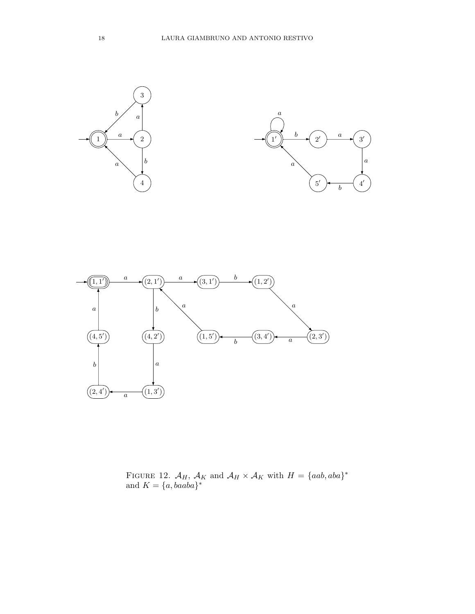



FIGURE 12.  $\mathcal{A}_H$ ,  $\mathcal{A}_K$  and  $\mathcal{A}_H \times \mathcal{A}_K$  with  $H = \{aab, aba\}^*$ and  $K = \{a, baaba\}^*$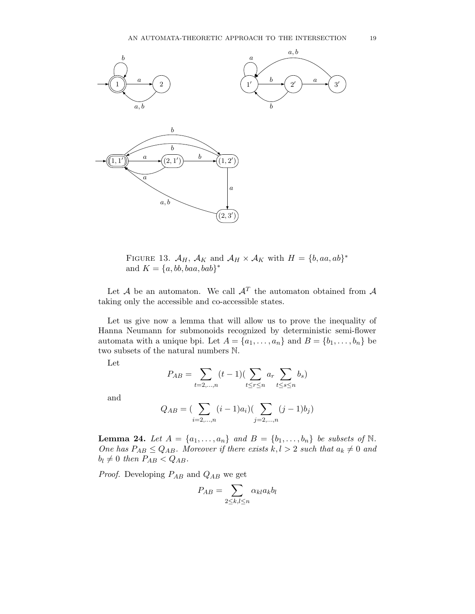

FIGURE 13.  $\mathcal{A}_H$ ,  $\mathcal{A}_K$  and  $\mathcal{A}_H \times \mathcal{A}_K$  with  $H = \{b, aa, ab\}^*$ and  $K = \{a, bb, baa, bab\}^*$ 

Let  $A$  be an automaton. We call  $A<sup>T</sup>$  the automaton obtained from  $A$ taking only the accessible and co-accessible states.

Let us give now a lemma that will allow us to prove the inequality of Hanna Neumann for submonoids recognized by deterministic semi-flower automata with a unique bpi. Let  $A = \{a_1, \ldots, a_n\}$  and  $B = \{b_1, \ldots, b_n\}$  be two subsets of the natural numbers N.

Let

$$
P_{AB} = \sum_{t=2,\dots,n} (t-1) (\sum_{t\leq r\leq n} a_r \sum_{t\leq s\leq n} b_s)
$$

and

$$
Q_{AB} = \left(\sum_{i=2,\dots,n} (i-1)a_i\right) \left(\sum_{j=2,\dots,n} (j-1)b_j\right)
$$

**Lemma 24.** Let  $A = \{a_1, \ldots, a_n\}$  and  $B = \{b_1, \ldots, b_n\}$  be subsets of  $\mathbb{N}$ . One has  $P_{AB} \leq Q_{AB}$ . Moreover if there exists  $k, l > 2$  such that  $a_k \neq 0$  and  $b_l \neq 0$  then  $P_{AB} < Q_{AB}$ .

*Proof.* Developing  $P_{AB}$  and  $Q_{AB}$  we get

$$
P_{AB} = \sum_{2 \leq k,l \leq n} \alpha_{kl} a_k b_l
$$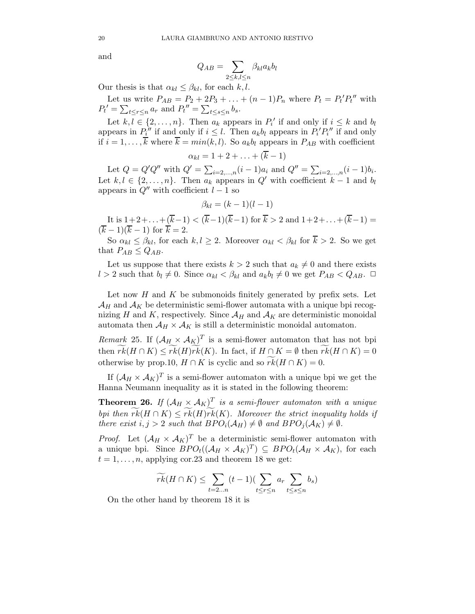and

$$
Q_{AB} = \sum_{2 \leq k, l \leq n} \beta_{kl} a_k b_l
$$

Our thesis is that  $\alpha_{kl} \leq \beta_{kl}$ , for each k, l.

Let us write  $P_{AB} = P_2 + 2P_3 + ... + (n-1)P_n$  where  $P_t = P_t'P_t''$  with  $P_t' = \sum_{t \leq r \leq n} a_r$  and  $P_t'' = \sum_{t \leq s \leq n} b_s$ .

Let  $k, l \in \{2, ..., n\}$ . Then  $a_k$  appears in  $P'_i$  if and only if  $i \leq k$  and  $b_l$ appears in  $P_i^{\prime\prime}$  if and only if  $i \leq l$ . Then  $a_k b_l$  appears in  $P_i^{\prime} P_i^{\prime\prime}$  if and only if  $i = 1, \ldots, \overline{k}$  where  $\overline{k} = min(k, l)$ . So  $a_k b_l$  appears in  $P_{AB}$  with coefficient

$$
\alpha_{kl}=1+2+\ldots+(\overline{k}-1)
$$

Let  $Q = Q'Q''$  with  $Q' = \sum_{i=2,...,n} (i-1)a_i$  and  $Q'' = \sum_{i=2,...,n} (i-1)b_i$ . Let  $k, l \in \{2, ..., n\}$ . Then  $a_k$  appears in  $Q'$  with coefficient  $k-1$  and  $b_l$ appears in  $Q''$  with coefficient  $l-1$  so

$$
\beta_{kl} = (k-1)(l-1)
$$

It is  $1+2+\ldots+(\overline{k}-1) < (\overline{k}-1)(\overline{k}-1)$  for  $\overline{k} > 2$  and  $1+2+\ldots+(\overline{k}-1) =$  $(\overline{k} - 1)(\overline{k} - 1)$  for  $\overline{k} = 2$ .

So  $\alpha_{kl} \leq \beta_{kl}$ , for each  $k, l \geq 2$ . Moreover  $\alpha_{kl} < \beta_{kl}$  for  $\overline{k} > 2$ . So we get that  $P_{AB} \leq Q_{AB}$ .

Let us suppose that there exists  $k > 2$  such that  $a_k \neq 0$  and there exists l > 2 such that  $b_l \neq 0$ . Since  $\alpha_{kl} < \beta_{kl}$  and  $a_k b_l \neq 0$  we get  $P_{AB} < Q_{AB}$ .  $\Box$ 

Let now  $H$  and  $K$  be submonoids finitely generated by prefix sets. Let  $\mathcal{A}_H$  and  $\mathcal{A}_K$  be deterministic semi-flower automata with a unique bpi recognizing H and K, respectively. Since  $A_H$  and  $A_K$  are deterministic monoidal automata then  $\mathcal{A}_H \times \mathcal{A}_K$  is still a deterministic monoidal automaton.

Remark 25. If  $(A_H \times A_K)^T$  is a semi-flower automaton that has not bpi then  $\widetilde{rk}(H \cap K) \leq \widetilde{rk}(H)\widetilde{rk}(K)$ . In fact, if  $H \cap K = \emptyset$  then  $\widetilde{rk}(H \cap K) = 0$ otherwise by prop.10,  $H \cap K$  is cyclic and so  $\widetilde{rk}(H \cap K) = 0$ .

If  $(A_H \times A_K)^T$  is a semi-flower automaton with a unique bpi we get the Hanna Neumann inequality as it is stated in the following theorem:

**Theorem 26.** If  $(A_H \times A_K)^T$  is a semi-flower automaton with a unique bpi then  $\widetilde{rk}(H \cap K) \leq \widetilde{rk}(H)\widetilde{rk}(K)$ . Moreover the strict inequality holds if there exist  $i, j > 2$  such that  $BPO_i(\mathcal{A}_H) \neq \emptyset$  and  $BPO_i(\mathcal{A}_K) \neq \emptyset$ .

*Proof.* Let  $(A_H \times A_K)^T$  be a deterministic semi-flower automaton with a unique bpi. Since  $BPO_t((\mathcal{A}_H \times \mathcal{A}_K)^T) \subseteq BPO_t(\mathcal{A}_H \times \mathcal{A}_K)$ , for each  $t = 1, \ldots, n$ , applying cor. 23 and theorem 18 we get:

$$
\widetilde{rk}(H\cap K)\leq \sum_{t=2\ldots n} (t-1)(\sum_{t\leq r\leq n} a_r \sum_{t\leq s\leq n} b_s)
$$

On the other hand by theorem 18 it is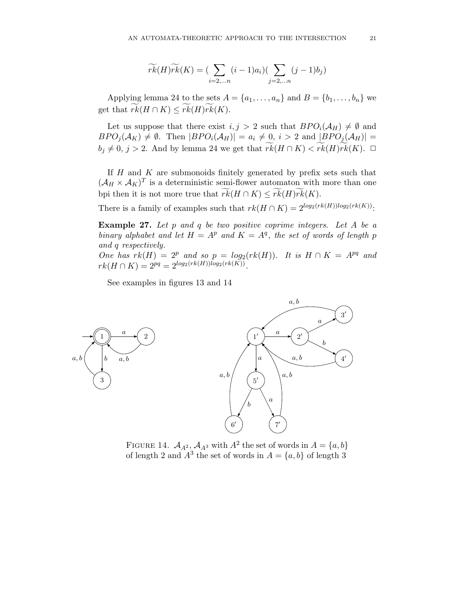$$
\widetilde{rk}(H)\widetilde{rk}(K) = \left(\sum_{i=2,\dots n} (i-1)a_i\right)\left(\sum_{j=2,\dots n} (j-1)b_j\right)
$$

Applying lemma 24 to the sets  $A = \{a_1, \ldots, a_n\}$  and  $B = \{b_1, \ldots, b_n\}$  we get that  $rk(H \cap K) \leq rk(H)rk(K)$ .

Let us suppose that there exist  $i, j > 2$  such that  $BPO_i(\mathcal{A}_H) \neq \emptyset$  and  $BPO_j(\mathcal{A}_K) \neq \emptyset$ . Then  $|BPO_i(\mathcal{A}_H)| = a_i \neq 0, i > 2$  and  $|BPO_j(\mathcal{A}_H)| =$  $b_j \neq 0, j > 2$ . And by lemma 24 we get that  $\widetilde{rk}(H \cap K) < \widetilde{rk}(H)\widetilde{rk}(K)$ .  $\Box$ 

If  $H$  and  $K$  are submonoids finitely generated by prefix sets such that  $(\mathcal{A}_H \times \mathcal{A}_K)^T$  is a deterministic semi-flower automaton with more than one bpi then it is not more true that  $\widetilde{rk}(H \cap K) \leq \widetilde{rk}(H)\widetilde{rk}(K)$ .

There is a family of examples such that  $rk(H \cap K) = 2^{\log_2(rk(H))\log_2(rk(K))}$ :

**Example 27.** Let  $p$  and  $q$  be two positive coprime integers. Let  $A$  be a binary alphabet and let  $H = A^p$  and  $K = A^q$ , the set of words of length p and q respectively.

One has  $rk(H) = 2^p$  and so  $p = log_2(rk(H))$ . It is  $H \cap K = A^{pq}$  and  $rk(H \cap K) = 2^{pq} = 2^{log_2(rk(H))log_2(rk(K))}.$ 

See examples in figures 13 and 14



FIGURE 14.  $A_{A^2}$ ,  $A_{A^3}$  with  $A^2$  the set of words in  $A = \{a, b\}$ of length 2 and  $A^3$  the set of words in  $A = \{a, b\}$  of length 3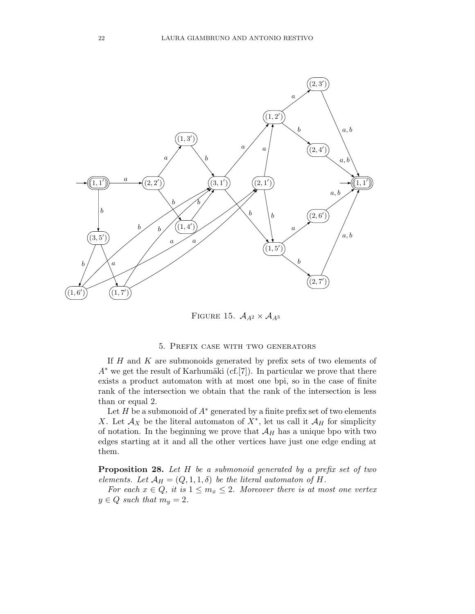

FIGURE 15.  $A_{A^2} \times A_{A^3}$ 

### 5. Prefix case with two generators

If  $H$  and  $K$  are submonoids generated by prefix sets of two elements of  $A^*$  we get the result of Karhumäki (cf.[7]). In particular we prove that there exists a product automaton with at most one bpi, so in the case of finite rank of the intersection we obtain that the rank of the intersection is less than or equal 2.

Let H be a submonoid of  $A^*$  generated by a finite prefix set of two elements X. Let  $\mathcal{A}_X$  be the literal automaton of  $X^*$ , let us call it  $\mathcal{A}_H$  for simplicity of notation. In the beginning we prove that  $A_H$  has a unique bpo with two edges starting at it and all the other vertices have just one edge ending at them.

Proposition 28. Let H be a submonoid generated by a prefix set of two elements. Let  $\mathcal{A}_H = (Q, 1, 1, \delta)$  be the literal automaton of H.

For each  $x \in Q$ , it is  $1 \leq m_x \leq 2$ . Moreover there is at most one vertex  $y \in Q$  such that  $m_y = 2$ .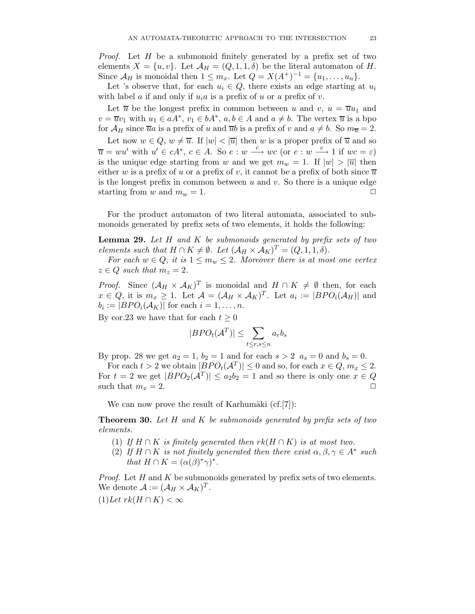Proof. Let H be a submonoid finitely generated by a prefix set of two elements  $X = \{u, v\}$ . Let  $\mathcal{A}_H = (Q, 1, 1, \delta)$  be the literal automaton of H. Since  $\mathcal{A}_H$  is monoidal then  $1 \leq m_x$ . Let  $Q = X(A^+)^{-1} = \{u_1, \ldots, u_n\}.$ 

Let 's observe that, for each  $u_i \in Q$ , there exists an edge starting at  $u_i$ with label a if and only if  $u_i a$  is a prefix of u or a prefix of v.

Let  $\overline{u}$  be the longest prefix in common between u and v,  $u = \overline{u}u_1$  and  $v = \overline{u}v_1$  with  $u_1 \in aA^*$ ,  $v_1 \in bA^*$ ,  $a, b \in A$  and  $a \neq b$ . The vertex  $\overline{u}$  is a bpo for  $\mathcal{A}_H$  since  $\overline{u}a$  is a prefix of u and  $\overline{u}b$  is a prefix of v and  $a \neq b$ . So  $m_{\overline{u}} = 2$ . Let now  $w \in Q$ ,  $w \neq \overline{u}$ . If  $|w| < |\overline{u}|$  then w is a proper prefix of  $\overline{u}$  and so  $\overline{u} = w u'$  with  $u' \in cA^*$ ,  $c \in A$ . So  $e : w \stackrel{c}{\longrightarrow} wc$  (or  $e : w \stackrel{c}{\longrightarrow} 1$  if  $wc = \varepsilon$ ) is the unique edge starting from w and we get  $m_w = 1$ . If  $|w| > |\overline{u}|$  then either w is a prefix of u or a prefix of v, it cannot be a prefix of both since  $\overline{u}$ is the longest prefix in common between  $u$  and  $v$ . So there is a unique edge starting from w and  $m_w = 1$ .

For the product automaton of two literal automata, associated to submonoids generated by prefix sets of two elements, it holds the following:

**Lemma 29.** Let  $H$  and  $K$  be submonoids generated by prefix sets of two elements such that  $H \cap K \neq \emptyset$ . Let  $(\mathcal{A}_H \times \mathcal{A}_K)^T = (Q, 1, 1, \delta)$ .

For each  $w \in Q$ , it is  $1 \leq m_w \leq 2$ . Moreover there is at most one vertex  $z \in Q$  such that  $m_z = 2$ .

*Proof.* Since  $(\mathcal{A}_H \times \mathcal{A}_K)^T$  is monoidal and  $H \cap K \neq \emptyset$  then, for each  $x \in Q$ , it is  $m_x \geq 1$ . Let  $\mathcal{A} = (\mathcal{A}_H \times \mathcal{A}_K)^T$ . Let  $a_i := |BPO_i(\mathcal{A}_H)|$  and  $b_i := |BPO_i(\mathcal{A}_K)|$  for each  $i = 1, \ldots, n$ .

By cor.23 we have that for each  $t \geq 0$ 

$$
|BPO_t(\mathcal{A}^T)| \leq \sum_{t \leq r, s \leq n} a_r b_s
$$

By prop. 28 we get  $a_2 = 1$ ,  $b_2 = 1$  and for each  $s > 2$   $a_s = 0$  and  $b_s = 0$ .

For each  $t > 2$  we obtain  $|BPO_t(A^T)| \leq 0$  and so, for each  $x \in Q, m_x \leq 2$ . For  $t = 2$  we get  $|BPO_2(\mathcal{A}^T)| \le a_2b_2 = 1$  and so there is only one  $x \in Q$ such that  $m_x = 2$ .

We can now prove the result of Karhumäki  $(cf.[7])$ :

**Theorem 30.** Let H and K be submonoids generated by prefix sets of two elements.

- (1) If  $H \cap K$  is finitely generated then  $rk(H \cap K)$  is at most two.
- (2) If  $H \cap K$  is not finitely generated then there exist  $\alpha, \beta, \gamma \in A^*$  such that  $H \cap K = (\alpha(\beta)^* \gamma)^*$ .

*Proof.* Let  $H$  and  $K$  be submonoids generated by prefix sets of two elements. We denote  $\mathcal{A} := (\mathcal{A}_H \times \mathcal{A}_K)^T$ .

 $(1)$ Let  $rk(H \cap K) < \infty$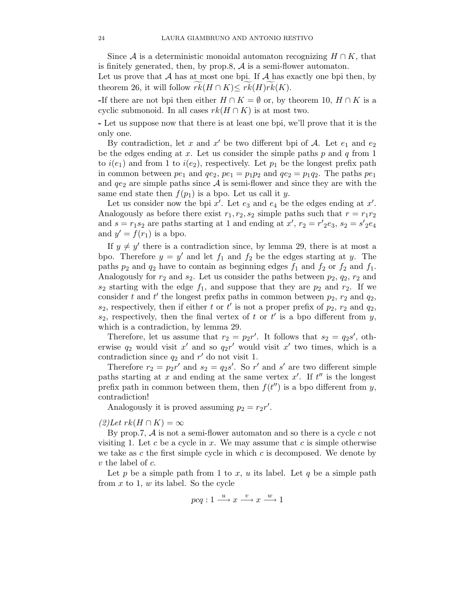Since A is a deterministic monoidal automaton recognizing  $H \cap K$ , that is finitely generated, then, by prop.8,  $A$  is a semi-flower automaton.

Let us prove that  $A$  has at most one bpi. If  $A$  has exactly one bpi then, by theorem 26, it will follow  $rk(H \cap K) \leq rk(H)rk(K)$ .

-If there are not bpi then either  $H \cap K = \emptyset$  or, by theorem 10,  $H \cap K$  is a cyclic submonoid. In all cases  $rk(H \cap K)$  is at most two.

- Let us suppose now that there is at least one bpi, we'll prove that it is the only one.

By contradiction, let x and x' be two different bpi of A. Let  $e_1$  and  $e_2$ be the edges ending at  $x$ . Let us consider the simple paths  $p$  and  $q$  from 1 to  $i(e_1)$  and from 1 to  $i(e_2)$ , respectively. Let  $p_1$  be the longest prefix path in common between  $pe_1$  and  $qe_2$ ,  $pe_1 = p_1p_2$  and  $qe_2 = p_1q_2$ . The paths  $pe_1$ and  $q_{e_2}$  are simple paths since A is semi-flower and since they are with the same end state then  $f(p_1)$  is a bpo. Let us call it y.

Let us consider now the bpi  $x'$ . Let  $e_3$  and  $e_4$  be the edges ending at  $x'$ . Analogously as before there exist  $r_1, r_2, s_2$  simple paths such that  $r = r_1 r_2$ and  $s = r_1 s_2$  are paths starting at 1 and ending at  $x'$ ,  $r_2 = r'{}_2 e_3$ ,  $s_2 = s'{}_2 e_4$ and  $y' = f(r_1)$  is a bpo.

If  $y \neq y'$  there is a contradiction since, by lemma 29, there is at most a bpo. Therefore  $y = y'$  and let  $f_1$  and  $f_2$  be the edges starting at y. The paths  $p_2$  and  $q_2$  have to contain as beginning edges  $f_1$  and  $f_2$  or  $f_2$  and  $f_1$ . Analogously for  $r_2$  and  $s_2$ . Let us consider the paths between  $p_2$ ,  $q_2$ ,  $r_2$  and  $s_2$  starting with the edge  $f_1$ , and suppose that they are  $p_2$  and  $r_2$ . If we consider t and t' the longest prefix paths in common between  $p_2$ ,  $r_2$  and  $q_2$ ,  $s_2$ , respectively, then if either t or t' is not a proper prefix of  $p_2$ ,  $r_2$  and  $q_2$ ,  $s_2$ , respectively, then the final vertex of t or t' is a bpo different from y, which is a contradiction, by lemma 29.

Therefore, let us assume that  $r_2 = p_2 r'$ . It follows that  $s_2 = q_2 s'$ , otherwise  $q_2$  would visit  $x'$  and so  $q_2r'$  would visit  $x'$  two times, which is a contradiction since  $q_2$  and  $r'$  do not visit 1.

Therefore  $r_2 = p_2 r'$  and  $s_2 = q_2 s'$ . So  $r'$  and  $s'$  are two different simple paths starting at x and ending at the same vertex  $x'$ . If  $t''$  is the longest prefix path in common between them, then  $f(t'')$  is a bpo different from y, contradiction!

Analogously it is proved assuming  $p_2 = r_2 r'$ .

### $(2)$ Let  $rk(H \cap K) = \infty$

By prop.7,  $\mathcal A$  is not a semi-flower automaton and so there is a cycle c not visiting 1. Let c be a cycle in  $x$ . We may assume that c is simple otherwise we take as c the first simple cycle in which c is decomposed. We denote by  $v$  the label of  $c$ .

Let p be a simple path from 1 to x, u its label. Let q be a simple path from  $x$  to 1,  $w$  its label. So the cycle

$$
pcq: 1 \xrightarrow{u} x \xrightarrow{v} x \xrightarrow{w} 1
$$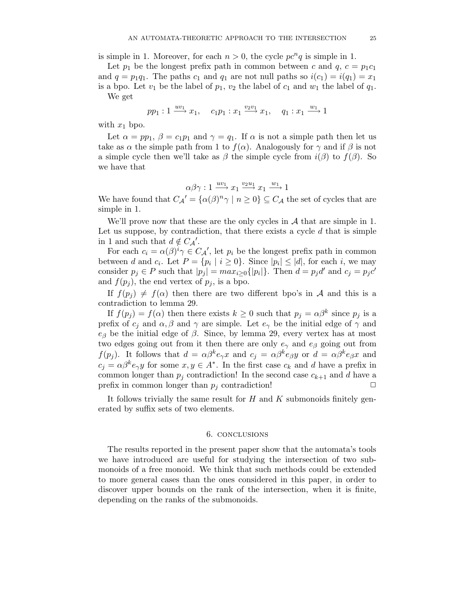is simple in 1. Moreover, for each  $n > 0$ , the cycle  $pc<sup>n</sup>q$  is simple in 1.

Let  $p_1$  be the longest prefix path in common between c and  $q, c = p_1c_1$ and  $q = p_1q_1$ . The paths  $c_1$  and  $q_1$  are not null paths so  $i(c_1) = i(q_1) = x_1$ is a bpo. Let  $v_1$  be the label of  $p_1, v_2$  the label of  $c_1$  and  $w_1$  the label of  $q_1$ . We get

$$
pp_1: 1 \xrightarrow{uv_1} x_1, \quad c_1p_1: x_1 \xrightarrow{v_2v_1} x_1, \quad q_1: x_1 \xrightarrow{w_1} 1
$$

with  $x_1$  bpo.

Let  $\alpha = pp_1$ ,  $\beta = c_1p_1$  and  $\gamma = q_1$ . If  $\alpha$  is not a simple path then let us take as  $\alpha$  the simple path from 1 to  $f(\alpha)$ . Analogously for  $\gamma$  and if  $\beta$  is not a simple cycle then we'll take as  $\beta$  the simple cycle from  $i(\beta)$  to  $f(\beta)$ . So we have that

$$
\alpha \beta \gamma : 1 \xrightarrow{uv_1} x_1 \xrightarrow{v_2u_1} x_1 \xrightarrow{w_1} 1
$$

We have found that  $C_{\mathcal{A}}' = {\{\alpha(\beta)^n \gamma \mid n \geq 0\}} \subseteq C_{\mathcal{A}}$  the set of cycles that are simple in 1.

We'll prove now that these are the only cycles in  $A$  that are simple in 1. Let us suppose, by contradiction, that there exists a cycle  $d$  that is simple in 1 and such that  $d \notin C_{\mathcal{A}}'$ .

For each  $c_i = \alpha(\beta)^i \gamma \in C_{\mathcal{A}}'$ , let  $p_i$  be the longest prefix path in common between d and  $c_i$ . Let  $P = \{p_i \mid i \ge 0\}$ . Since  $|p_i| \le |d|$ , for each i, we may consider  $p_j \in P$  such that  $|p_j| = max_{i \geq 0} \{|p_i|\}$ . Then  $d = p_j d'$  and  $c_j = p_j c'$ and  $f(p_i)$ , the end vertex of  $p_i$ , is a bpo.

If  $f(p_i) \neq f(\alpha)$  then there are two different bpo's in A and this is a contradiction to lemma 29.

If  $f(p_j) = f(\alpha)$  then there exists  $k \geq 0$  such that  $p_j = \alpha \beta^k$  since  $p_j$  is a prefix of  $c_i$  and  $\alpha, \beta$  and  $\gamma$  are simple. Let  $e_\gamma$  be the initial edge of  $\gamma$  and  $e_{\beta}$  be the initial edge of  $\beta$ . Since, by lemma 29, every vertex has at most two edges going out from it then there are only  $e_{\gamma}$  and  $e_{\beta}$  going out from  $f(p_j)$ . It follows that  $d = \alpha \beta^k e_\gamma x$  and  $c_j = \alpha \beta^k e_\beta y$  or  $d = \alpha \beta^k e_\beta x$  and  $c_j = \alpha \beta^k e_\gamma y$  for some  $x, y \in A^*$ . In the first case  $c_k$  and d have a prefix in common longer than  $p_i$  contradiction! In the second case  $c_{k+1}$  and d have a prefix in common longer than  $p_i$  contradiction!

It follows trivially the same result for  $H$  and  $K$  submonoids finitely generated by suffix sets of two elements.

### 6. conclusions

The results reported in the present paper show that the automata's tools we have introduced are useful for studying the intersection of two submonoids of a free monoid. We think that such methods could be extended to more general cases than the ones considered in this paper, in order to discover upper bounds on the rank of the intersection, when it is finite, depending on the ranks of the submonoids.